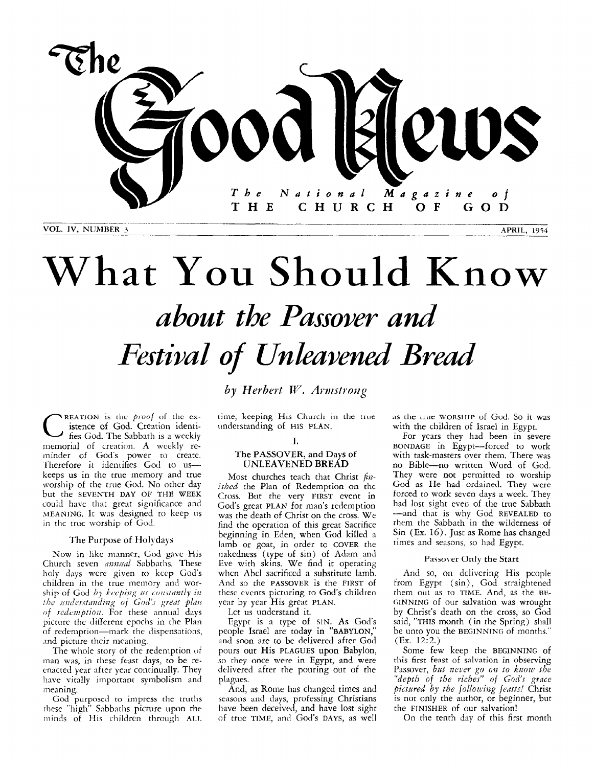

VOL. IV, NUMBER 3

**APRIL, 1954** 

## What You Should Know about the Passover and *Festival of Unleavened Bread*

by Herbert W. Armstrong

**REATION** is the *proof* of the ex-<br>**istence of God. Creation identi**fies God. The Sabbath is a weekly memorial of creation. **A** weekly reminder of God's power to create. Therefore it identifies God to uskeeps **us** in the true memory and true worship of the true God. No other day but the SEVENTH DAY OF THE WEEK could have that great significance and MEANING. It was designed to keep us in thc truc worship of God.

#### The Purpose of Holydays

Now in like manner, God gave His Church seven *annual* Sabbaths. These holy days were given to keep God's children in the true memory and worship of God by keeping us constantly in *the understanding of God's great plan* of *redemption*. For these annual days picture the different epochs in the Plan of redemption-mark the dispensations, and picture their meaning.

The whole story of the redemption of man was, in these feast days, to be reenacted year after year continually. They have vitally important symbolism and meaning.

God purposed to impress the truths rhese "high" Sabbaths picture upon the minds of His children through ALL time, keeping His Church in the true mderstanding of HIS **PLAN.** 

#### **I.**

#### The **PASSOVER,** and **Days** of **UNLEAVENED BREAD**

Most churches teach that Christ  $fn$ *ished* the Plan of Redemption on the Cross. But the very **FIRST** event in God's great **PLAN** for man's redemption was the death of Christ on the cross. We find the operation of this great Sacrifice beginning in Eden, when God killed a lamb or goat, in order to **COVER** the nakedness (type of sin) of Adam and Eve with skins. We find it operating when Abel sacrificed a substitute lamb. And so the **PASSOVER** is the **FIRST** of thesc cvcnts picturing to God's children year by year His great **PLAN.** 

Let us understand it.

Egypt is a type of **SIN. As** God's people Israel are today in **"BABYLON,"**  and soon are to be delivered after God<br>pours out His PLAGUES upon Babylon, so they once were in Egypt, and were delivered after the pouring out of the plagues.

And, as Rome has changed times and seasons and days, professing Christians have been deceived, and have lost sight of true **TIME,** and God's **DAYS,** *as* well

as the *LELLE* WORSHIP of God. So it was with the children of Israel **in** Egypt.

For years they had been in severe **BONDAGE** in Egypt-forced to work with task-masters over them. There was no Bible-no written Word of God. They were not permitted to worship God **as** He had ordained. They were forced to work seven days a week. They had lost sight even of the true Sabbath them the Sabbath in the wilderness of Sin (Ex. 16). Just as Rome has changed times and seasons, so had Egypt. --and that is why God **REVEALED** to

#### Passover Only the Start

And so, on delivering His people from Egypt (sin), God straightened them out as to TIME. And, as the BE-**GINNING** of our salvation was wrought by Christ's death on the cross, so God said, **"THIS** month (in the Spring) shall be unto you the **BEGINNING** of months." (Ex. 12:2.)

Some few keep the **BEGINNING** of this firsr **feast of salvation in** observing Passover, *but never go on to know the "depth* of *the riches"* of *God's grace pictured by the follotciug fedrts!* Christ is not only the author, or beginner, but the **FINISHER** of our salvation!

On the tenth day of this first month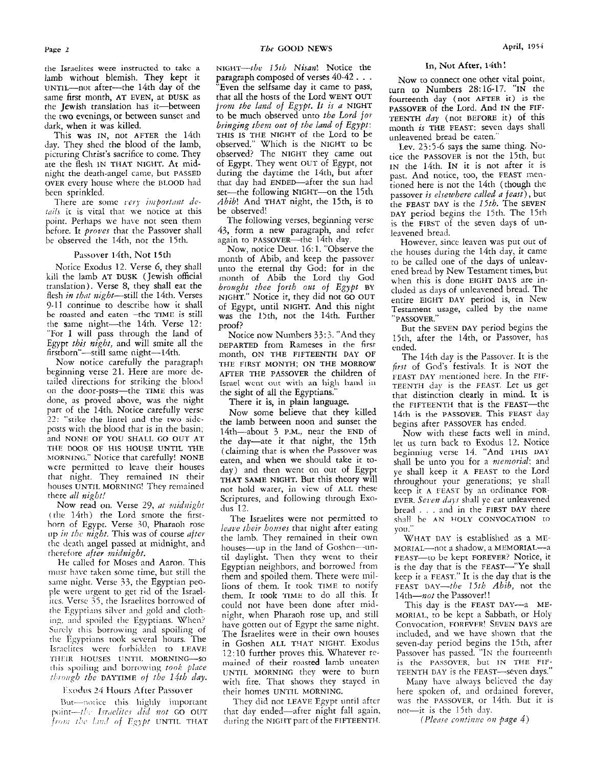picturing Christ's sacrifice to come. They observed? The NIGHT they came out tice the PASSOVER is not the 15th, but<br>ate the flesh IN THAT NIGHT. At mid-<br>night the death-angel came, but PASSED during the daytime the 14th, b night the death-angel came, but PASSED during the daytime the 14th, but after past. And notice, too, the FEAST men-<br>OVER every house where the BLOOD had that day had ENDED—after the sun had tioned here is not the 14th (tho This was IN, not AFTER the 14th THIS IS THE NIGHT of the Lord to be day. They shed the blood of the lamb, observed." Which is the NIGHT to be

tails it is vital that we notice at this be observed!<br>point. Perhaps we have not seen them The following verses, beginning verse is the FIRST of the seven days of un-<br>before. It *proves* that the Passover shall 43, form a

**kill the lamb AT DUSK (Jewish official** month of Abib the Lord thy God translation). Verse 8, they shall eat the *brought thee forth out of Egypt* BY be roasted and eaten -the TIME is still the same night—the 14th. Verse 12: proof?<br>
"But the SEVEN DAY period begins the "But the SEVEN DAY period begins the "But the SEVEN DAY period begins the<br>
"But the SEVEN DAY Personer has Notice Exodus 12. Verse 6, they shall

taned directions for striking the blood lisrael went out with an high hand in TEENTH day is the FEAST. Let us get<br>on the door-posts—the TIME this was the sight of all the Egyptians." that distinction clearly in mind. It is done, as proved above, was the night<br>next of the 14th Notice carefully verse part of the 14th. Notice carefully verse<br>22. "with the lines lines and the true side of Now some believe that they killed 14th is the PASSOVER. This FEAST day  $\frac{1}{22}$ : "stike the lintel and the two side-<br>posts with the blood that is in the basin;<br> $\frac{1}{4}$ th-about  $\frac{2}{3}$  PM pear the END of<br>Nous side-<br>Nous side-<br>Nous side-<br>Nous side-<br>Nous side of the two sideposts with the blood that is in the basin; 14th—about 3 P.M., near the END of Now with these facts well in mind, and NONE OF YOU SHALL GO OUT AT the day—ate it that night, the 15th let us turn back to Exodus 12. Notice THE shall be unto you for a *memorial*; and were permitted to leave their houses day) and then went on out of Egypt ye shall keep it A FEAST to the Lord that night. They remained IN their THAT SAME NIGHT. But this theory will **MORNING."** Notice that carefully! NONE

bread . . . and in the FIRST DAY there (the 14th) the Lord smote the first-<br>(the 14th) the Lord smote the first-<br>The Israelites were not permitted to shall be AN HOLY CONVOCATION to horn of Egypt. Verse **10,** Pharaoh rose

He called for Moses and Aaron. This THEIR HOUSES UNTIL MORNING-SO

*Jrom the land of Egypt UNTIL THAT* during the NIGHT part of the FIFTEENTH.

the Israelites were instructed to take a **NIGHT-the 15th Nisan!** Notice the In, Not After, 14th! lamb without blemish. They kept it paragraph composed of verses 40-42 . . . Now to connect one other vital point, lamb without blemish. They kept it paragraph composed of verses 40-42 . . . Now to connect one other vital p UNTIL—not atter—the 14th day of the "Even the selfsame day it came to pass, turn to Numbers 28:16-17. "IN the same first month, AT EVEN, at DUSK as that all the hosts of the Lord WENT OUT the fourteenth day (not AFTER it) the Jewish translation has it—between from the land of Egypt. It is a NIGHT **PASSOVER** of the Lord. And IN the FIFthe two evenings, or between sunset and to be much observed unto the Lord for TEENTH *day* (not BEFORE it) of this dark, when it was killed.<br>dark, when it was killed. *bringing them out of the land of Egypt*: month *is* TH rk, when it was killed.<br>This was IN, not AFTER the 14th THIS IS THE NIGHT of the Lord to be unleavened bread be eaten." day. They shed the blood of the lamb, observed." Which is the NIGHT to be Lev. 23:5-6 says the same thing. No-"Even the selfsame day it came to pass, that all the hosts of the Lord WENT OUT to be much observed unto *the Lord foi bringing them out of the land of Egypt:* observed." Which is the NIGHT to be observed? The NIGHT they came out of Egypt. They went OUT of Egypt, not during the daytime the 14th, but after that day had ENDED-after the sun had set-the following NIGHT--on the 15th *Abib!* And THAT night, the 15th, is tO

before. It *proves* that the Passover shall 43, form a new paragraph, and refer leavened bread.<br>be observed the 14th, not the 15th. again to PASSOVER—the 14th day. However sin

Now, notice Deut. 16:1. "Observe the the houses during the 14th day, it came<br>month of Abib, and keep the passover to be called one of the days of unleav-<br>ce Exodus 12. Verse 6, they shall unto the eternal thy God: for in t Notice Exodus 12. Verse 6, they shall unto the eternal thy God: for in the ened bread by New Testament times, but<br>kill the lamb AT DUSK (Jewish official month of Abib the Lord thy God when this is done EIGHT DAYS are intranslation). Verse 8, they shall eat the *brought thee forth out of Egypt* BY<br>flesh *in that night*—still the 14th. Verses NIGHT." Notice it, they did not GO OUT entire EIGHT DAY period is, in New 9-11 continue to describe how it shall of Egypt, until NIGHT. And this night entire EIGHT DAY period is, in New<br>19-11 continue to describe how it shall of Egypt, until NIGHT. And this night Testament usage, called by the n

Egypt *this night,* and will smite all the DEPARTED from Rameses in the **first** ended. stborn"-still same night--14th. month, ON THE FIFTEENTH DAY OF The 14th day is the Passover. It is the Now notice carefully the paragraph THE FIRST MONTH; ON THE MORROW first of God's festivals. It is NOT the Now notice carefully the paragraph THE FIRST MONTH; ON THE MORROW *first* of God's festivals. It is NOT the beginning verse 21. Here are more de-<br>https://www.incomedia.org/services/services/services/services/services/servi FEAST DAY mentioned here. In the FIF-<br>tailed directions for striking the blood lisrael went out with an high hand in **TEENTH** day is the FEAST. Let us get

There it **is,** in plain language.

**Celaiming that is when the Passover was** that night. They remained IN their THAT SAME NIGHT. But this theory will throughout your generations; ye shall houses UNTIL MORNING! They remained not hold water, in view of ALL these keep it A FEAST by an ordinance FOR-Scriptures, and following through Exo-<br>Scriptures, and following through Exo-<br>Now read on. Verse 29, at midnight<br>Now read on. Verse 29, at midnight<br>dus 12.<br>By the shall ye eat unleavened through Exo-<br>hread only shall ye ea Now some believe that they killed the lamb between noon and Sunset the 14th-about 3 P.M., near the END of the day-ate it that night, the 15th

*leave their houses* that night after eating you." up in the night. This was of course after<br>the lamb. They remained in their own WHAT DAY is established as a ME-<br>houses—up in the land of Goshen—un-<br>MORIAL—not a shadow, a MEMORIAL—a the death anger passed at midnight, and<br>therefore *after midnight*,<br>if daylight. Then they went to their title therefore *after midnight*.<br>He colled for Moses and Assoc. This iil daylight. Then they went to their FEAST-to be kept **FOREVER?** Notice, it Egyptian neighbors, and borrowed from is the day that is the FEAST--"Ye shall the cancel for moses and naron. This<br>must have taken some time, but still the<br>same night. Verse 33, the Egyptian peo-<br>lons of them. It took TIME to notify<br>reast DAY-the 15th Abib, not the same night. Verse 33, the Egyptian peo-<br>ple were urgent to get rid of the Israel-<br>hem. It took TIME to all this It at the Pessonial Pessonial and Pessonial the please of the Israelple were urgent to get rid or the israelics<br>itcs. Verse 35, the Israelites borrowed of<br>the Egyptians silver and gold and cloth-<br>the Egyptians silver and gold and cloth-<br>might, when Pharaoh rose up, and still MORIAL, to be the Egyptians silver and gold and cloth-<br>ing, and spoiled the Egyptians. When?<br>have gotten out of Egypt the same night. Convocation, FOREVER! SEVEN DAYS are have gotten out of Egypt the same night. Convocation, **FOREVER!** SEVEN DAYS are The Israelites were in their own houses included, and we have shown that the Surely this borrowing and spoiling of<br>the Israelites were in their own houses included, and we have shown that the<br>in Goshen ALL THAT NIGHT. Exodus seven-day period begins the 15th, after the Egyptians took several hours. The<br>Israelites were forbiden to LEAVE in Goshen ALL THAT NIGHT. Exodus seven-day period begins the 15th, after<br>The Estation of Estate the Leaven of The 12:10 further proves this. Whatever 12:10 further proves this. Whatever re-<br>mained of their roasted lamb uneaten is the PASSOVER, but IN THE FIFthis spoiling and borrowing took place<br>through the DAYTIME of the 14th day.<br>Exodus 24 Hours After Passover their homes UNTIL MORNING.<br>Exodus 24 Hours After Passover their homes UNTIL MORNING. them. It took TIME to do all this. It

But—notice this highly important They did not LEAVE Egypt until after was the PASSOVER, or 14th. But it is int—the Israelites did not GO OUT that day ended—after night fall again, not—it is the 15th day. point—the Israelites did not GO OUT that day ended—after night fall again, not—it is the 15th day.<br>from the land of Egypt UNTIL THAT during the NIGHT part of the FIFTEENTH. (*Please continue on page 4*)

picturing Christ's sacrifice to come. They observed? The NIGHT they came out tice the PASSOVER is not the 15th, but over every house where the BLOOD had that day had ENDED—after the sun had<br>been sprinkled.<br>There are some *very important de*-<br>the following NIGHT—on the 15th passover is elsewhere called a feast), but<br>the FEAST DAY is the Lev. 23:5-6 says the same thing. No-

> ain to PASSOVER—the 14th day. <br>Now, notice Deut. 16:1. "Observe the the houses during the 14th day it came. "PASSOVER."

> > 15th, after the 14th, or Passover, has

shall be AN HOLY CONVOCATION to

This day is the FEAST DAY-a ME-

here spoken of, and ordained forever,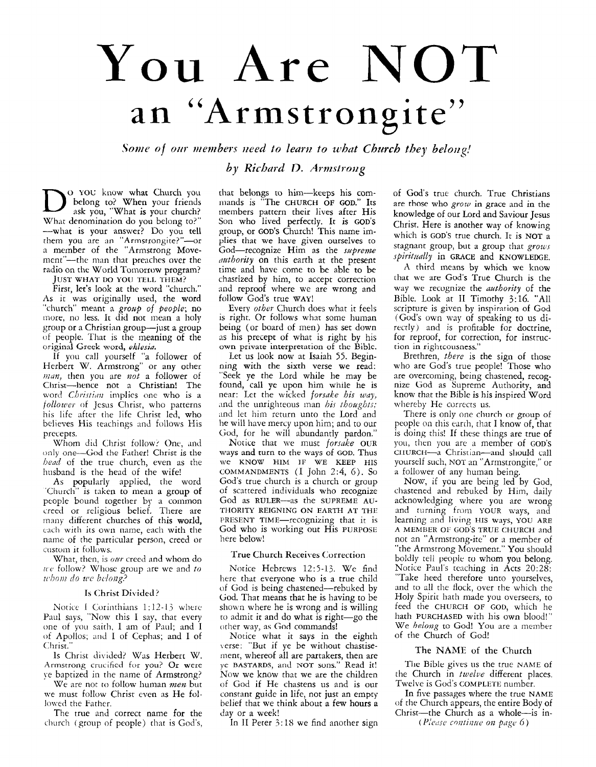# You **Are** NOT an "Armstrongite"

*Some of our members need to learn to what Church they belong!* 

by Richard D. Armstrong

**D**  $\sum_{\text{oblong}}$  to? When your friends ask you, "What is your church? belong to? When your friends ask you, "What is your church? What denomination do you belong to?' -what is your answer? Do you tell them you are an "Armstrongite?"—or a member of the "Armstrong Movement"-the man that preaches over the radio on the World Tomorrow program?

**JUST WHAT DO YOU TELL THEM?** 

First, let's look at the word "church." As it was originally used, the word "church" meant a *group of people*; no more, no less. It did not mean **a** holy group or a Christian group-just a group of people. That is the meaning of the original Greek word, *eklesin.* 

If you call yourself **"a** follower of Herbert W. Armstrong" or any other *man*, then you are not a follower of Clirisr-hence not a Christian! The word *Christian* implies one who is a *follozver* of Jesus Christ, who patterns his life after the life Christ led, who believes His teachings and follows His precepts.

Whom did Christ follow? One, and only one-God the Father! Christ is the *hend* of the true church, even as the husband is the head of the wife!

As popularly applied, the word 'Church" is taken to mean **a** group of people bound together by a common creed or religious belief. There are inany different churches of this world, each with its own name, each with the name of the particular person, creed or custom it follows.

What, then, is our creed and whom do ice follow? Whose group are we and to *ii'/70m do* wc *beloiig?* 

#### Is Christ Divided?

Notice I Corinthians 1:12-13 where Paul says, "Now this I say, that every one of you saith, I am of Paul, and I *oi* Apollos; **and** I of Cephas; and I of Christ."

Is Christ divided? Was Herbert W. Armstrong crucified for you? Or **were**  ye baptized in the name of Armstrong?

We are not to follow human *men* but we must follow Christ even as He followed the Father.

The true and correct name for the church (group of people) that is God's, that belongs to him-keeps his commands is "The **CHURCH OF** GOD." Its members pattern their lives after His Son who lived perfectly. It **is GOD'S**  group, or **GOD'S** Church! This name implies that we have given ourselves to God-recognize Him as the *sapreme authority* on this earth at the present time and have come to be able to be chasrized by him, to accept correction and reproof where we are wrong and follow God's true **WAY!** 

Every *other* Church does what it feels is right. Or follows what some human being (or board of men) has set down as his precept of what is right by his own **private** interpretation of the Biblc.

Let us look now at Isaiah *55.* Beginning with the sixth verse we read: "Seek ye the Lord while he may be found, call ye upon him while he is near: Let the wicked *forsake his way,*  and the unrighteous man *his thoughts*; and let him return unto the Lord and he will have mercy upon him; and to our God, for he will abundantly pardon."

Notice that we must *forsake* **OUR ways** and turn to the ways of **GOD.** Thus we **KNOW** HIM **IF WE KEEP** HIS **COMMANDMENTS** ( 1 John *2:4,* 6). *so*  God's true church is a church or group of scattered individuals who recognize God as RULER-as the SUPREME AU-**THORITY REIGNING ON EARTH AT THE**  PRESENT TIME-recognizing that it is God who is working out His **PURPOSE**  here below!

#### True Church Receives Correction

Notice Hebrews 12:5-13. We find here that everyone who is a true child of God is being chastened-rebuked by God. That means that he is having to be shown where he is wrong and is willing to admit it and do what is right-go the other way, as God commands!

Notice what it says in the eighth verse: "But if ye be without chastisement, whereof all are partakers, then are ye **BASTARDS,** and **NOT** sons." Read it! Now we know that we are the children of God if He chastens us and is our constant guide in life, not just an empty belief that we think about a few hours a day or a week!

In II Peter 3:18 we find another sign

of God's true church. True Christians are those who *grow* in grace and in the knowledge of our Lord and Saviour Jesus Christ. Here is another way of knowing which is **GOD'S** true church. It is **NOT a**  stagnant group, but a group that  $grous$ .  $spiritually$  in **GRACE** and **KNOWLEDGE**.

*A* third means by which we know **[hat** we are God's True Church is the way we recognize the *nuthority* of the Bible. Look at I1 Timothy 3:16. "All scripture is given by inspiration of God (God's own way of speaking to us directly) and is profitable for doctrine, for reproof, for correction, for instruction in rightcousness."

Brethren, *there* is the sign of those who are God's true people! Those who are overcoming, being chastened, recognize God as Supreme Authority, and know that the Bible is his inspired Word whereby He corrects us.

There is only one church or group of people on this earrh, that I know of, that is doing this! If these things are true of you, then you arc' a member of **GOD'S CIIURCII--~** Christian-and should call yourself such, NOT an "Armstrongite," or a follower of any human being.

Now, if you are being led by God, chastened and rebuked by Him, daily acknowledging where you are wrong and turning from **YOUR** ways, and learning and living HIS ways, YOU **ARE**  not an "Armstrong-ire" or a member of "the Armstrong Movement." You should boldly tell people to whom you belong. Notice Paul's teaching in Acts 20:28: "Take heed therefore unto yourselves, and to nll the flock, over the which the Holy Spirit hath made you overseers, to feed the **CHURCH** OF GOD, which he hath **PURCHASED** with his own blood!" We *belong* to God! *You* are **n** member of the Church of God! **A MEMBER** OF GOD'S **TRUE CHURCH** and

#### The **NAME** of the Church

The Bible gives us the true **NAME** of the Church in *twelve* different places. Twelve is God's **COMPLETE** number.

In five passages where the true **NAME**  of the Church appears, the entire Body of Christ-the Church as a whole-is in-

( *I':cr!se cnaliizire on page* 6)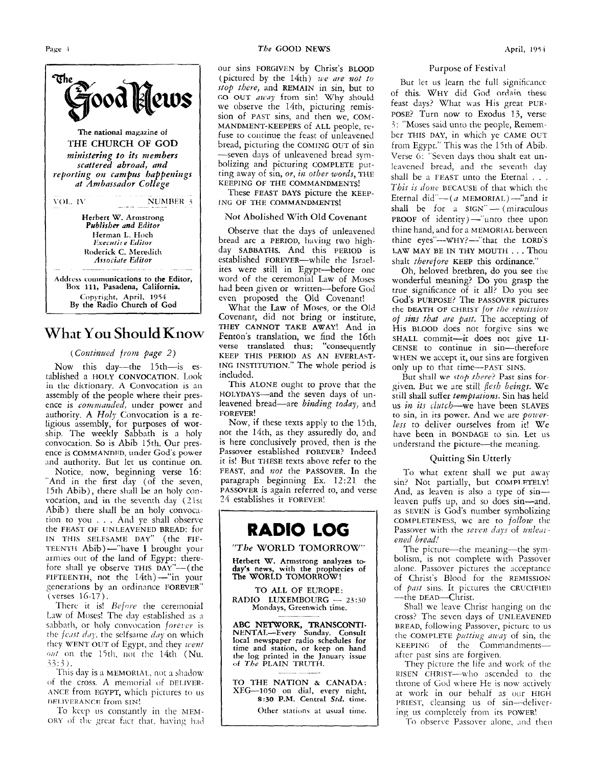

### **What** You **Should** .Know

#### *(Continued from page 2)*

Now this day-the 15th-is established a **HOLY CONVOCATION**. Look in the dictionary. A Convocation is an assembly of the people where their presence is *commanded*, under power and authority. A *Holy* Convocation is a religious assembly, for purposes of worship. The weekly Sabbath is **a** holy convocation. So is Abib 15th. Our presence is COMMANDED, under God's power and authority. But let us continue on.

Notice. now, beginning verse 16: "And in the first day (of the seven, 15th Abib), there sliall **be** an holy convocation, and in the seventh day (21st Abib) there shall be an holy convocation to you . . . And ye shall observe the **FEAST OF UNLEAVENED BREAD**: for IN **THIS SELFSAME DAY"** (the **FIF-TEENTH Abib)** - "have I brought your armies out of the land of Egypt: therefore shall ye observe **THIS DAY"-** (the  $FIFTEENTH$ , not the  $14$ th) --"in your Senerations by an ordinance **FOREVER"**  (verses 16-17).

There it is! *Before* the ceremonial Law of Moses! The day established as a sabbath, or holy convocation *forever* is the *feast day*, the selfsame *day* on which they WENT OUT of Egypt, and they *went onf* on the 15th. **not** the 14th (Nu.  $33:3$ .

This day is a MEMORIAL, not a shadow of the cross. A memorial of DELIVER-ANCE from EGYPT, which pictures to us **DELIVERANCE** from SIN!

To keep us constantly in the MEM-ORY of the great fact that, having had

#### *The* **GOOD NEWS April, <sup>1954</sup>**

our sins **FORGIVEN** by Christ's **BLOOD**  (pictured by the  $14th$ ) *we are not to stop there,* and **REMAIN** in sin, but to *Go* **OUT** *tjzf'tiy* from sin! Why should we observe the 14th, picturing remission of **PAST** sins, and then we, *COM-***MANDMENT-KEEPERS** of **ALL** people, refuse to continue the feast of unleavened bread, picturing the **COMING OUT** of sin -seven days of unleavened bread symbolizing and picturing **COMPLETE** putting away of sin, *or, ilz other words,* **THE KEEPING OF THE COMMANDMENTS!** 

These **FEAST DAYS** picture the **KEEP-ING OF THE COMMANDMENTS!** 

#### Not Abolished With Old Covenant

Observe that the days of unleavened bread arc a PERIOD, having two highday **SABBATHS.** And this **PERIOD** is established FOREVER-while the Israelites were still in Egypt-before one word of the ceremonial Law of Moses had been given or written-before God even proposed the Old Covenant!

What the Law of Moses, or the Old Covenant, did not bring or institute, **THEY CANNOT TAKE AWAY!** And in Fenton's translation, we find the 16th verse translated **thus:** "consequently **ING INSTITUTION."** The whole period is included. **KEEP THIS PERIOD AS AN EVERLAST-**

This **ALONE** ought to prove that the **HOLYDAYS-and** the seven days of unleavened bread-are *binding today*, and **FOREVER!** 

Now, if these texts apply to the 15th, not the 14th, as they assuredly do, and is here conclusively proved, then is the Passover established **FOREVER?** Indeed it is! But **THESE** texts above refer to the **FEAST,** and *not* the **PASSOVER.** In the paragraph beginning Ex. 12:21 the **PASSOVER** is again referred to, and verse *34* establishes it **FOREVER!** 



*"The* **WORLD** TOMORROW"

**Herbert W. Armstrong analyzes today's news, with the prophecies of The WORLD TOMORROW** !

**TO ALL OF EUROPE: Mondays, Greenwich time. RADIO LUXEMBOURG** - 23:30

**ABC NETWORK, TRANSCONTI-NENTAL-Every Sunday. Consult local newspaper radio schedules for time and station,** or **keep** on **hand the log printed** in **the Januar) issue of** *The* **PLAIN** TRLJTH.

**TO THE NATION** & **CANADA: XFG-1050** on **dial, every night,**  *8:30* **P.M. Central** *sld.* **time.** 

\_\_

Other stations at usual time.

#### Purpose of Festival

But let us learn the full significance of this. WHY did God ordain these feast days? What was His great **PUR-**POSE? Turn now to Exodus 13, verse-3: "Moses said unto the people, Remember **THIS DAY,** in which ye **CAME** OUT from Egypt." This was the 15th of Abib. Verse *6:* "Seven days thou shalt eat unleavened bread, and the seventh day shall be a **FEAST** unto the Eternal . . . *This is donc* **BECAUSE** of that which the Eternal did" $-$  (*a* MEMORIAL) $-$ "and it shall be for a SIGN"- (miraculous PROOF of identity)-"unto thee upon thine hand, and for a **MEMORIAL** between thine eyes"-WHY?--"that the **LORD'S**  LAW MAY BE IN THY MOUTH . . . Thou shalt *therefore* **KEEP** this ordinance."

Oh, beloved brethren, do you see the wonderful meaning? Do you grasp the true significance of it all? Do you see **God's PURPOSE?** The **PASSOVER** pictures thc **DEATH OF CHRIST** *fur zbe renzissioii*  of *sins ths ilre past.* The accepting of His BLOOD does not forgive sins we **SHALL** commit-it does not give LI-**CENSE** to continue in sin-therefore **WHEN** we accept it, our sins are forgiven only up to that time-PAST SINS.

But shall **we** *rtnp there?* Past sins forgiven. Hut we are still *flesh beings.* We still shall suffer *temptations.* Sin has held us *in its clutch*—we have been SLAVES to sin, in its power. And **we are** *powerless* to deliver ourselves from **it!** We have been in **BONDAGE** to sin. Let us understand the picture-the meaning.

#### Quitting Sin Utterly

To what extent shall we put away sin? Not partially, but **COMPI.RTELY!**  And, as leaven is also a type of sinleaven puffs up, and so does sin—and. as **SEVEN** is God's number symbolizing Passover with the *seven days* of *unlear ened he&!*  **COMPLETENESS, WC are** tO *follow* the

The picture---the meaning---the symbolism, is not complete with Passover alone. Passover pictures the ncceptance of Christ's Blood for the **REMISSION** of *past* sins. It pictures the CRUCIFIED -the DEAD-Christ.

Shall we leave Christ hanging on the cross! The seven days of **UNLEAVENED BREAD,** following Passover, picturc to us the **COMPLETE** *putting away* of sin, the KEEPING of the Commandmentsafter past sins are forgiven.

They picture the life and work of the RISEN **CHRIST--n.ho** ascended to the throne of God where He is now xctively at work in our behalf as our **HIGH** PRIEST, cleansing us of sin-delivering us completely from its **POWER!** 

**<sup>I</sup><sup>I</sup>**To observe Pxsover alone, **md** t!ien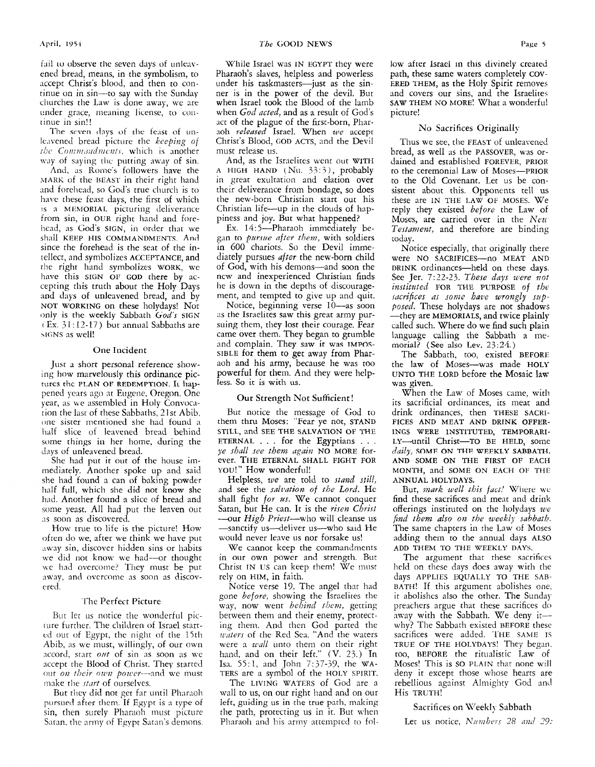fail to observe the seven days of unleavened bread, means, in the symbolism, to accept Christ's blood, and then to continue on in sin-to say with the Sunday churches the Law is done away, we are under grace, meaning license, to continue in sin!!

The seven days of the feast of unleavened bread picture the *keeping* of *the Commandments*, which is another way of saying the putting away of sin.

And, as Rome's followers have the MARK of the **BEAST** in their right hand and forehead, so God's true church is to have these feast days, the first of which *is a MEMORIAL picturing deliverance* from sin, in OUR right hand and forehead, as God's **SIGN,** in order that we shall **KEEP HIS COMMANDMENTS. And**  since the forehead is the seat of the intellect, and symbolizes **ACCEPTANCE,** and the right hand symbolizes **WORK,** we have this SIGN OF GOD there by accepting this truth about the Holy Days and days of unleavened bread, and by **NOT WORKING** on these holydays! Not only is the weekly Sabbath God's SIGN  $(E_{\rm X}, 31:12-17)$  but annual Sabbaths are siGNS as well!

#### One Incident

Just **3** short personal reference showing how marvelously this ordinance picturcs thc **PLAN OF REDEMPTION.** IL hap pened years ago at Eugene, Oregon. One year, **;is we** assembled in Holy Convocation the lax of these Sabbaths, 2 1 st Abib. one sister mentioned she had found a half slice of leavened bread behind some things in her home, during the days of unleavened bread.

She had put it out of the house immediately. Another spoke up and said she had found a can of baking powder half full, which she did not know she **had.** Another found a slice of bread and some yeast. All had put the leaven out ns soon as discovered.

How true to life is the picture! How often do we, after we think we have put way sin, discover hidden sins or habits we did not know we had-or thought we had overcome? They must be put nway, and overcome as soon as discovered.

#### The Perfect Picture

But let us notice the wonderful picrure further. The children of Israel started out of Egypt, the night of the 15th Abib, as we must, willingly, of our own accord, start *out* of sin as soon as we accept the Blood of Christ. They started out *on their own power*—and we must make the *rtnrt* of ourselves.

But they did not get far until Pharaoh pursued after them. If Egypt is a type of sin, then surely Pharaoh must picture Satan, the army of Egypt Satan's demons.

While Israel was IN EGYPT they were Pharaoh's slaves, helpless and powerless under his taskmasters--just as the sinner is in the power of the devil. But when Israel took the Blood of the lamb when *God acted,* and as a result of God's act of the plague of the first-born, Pharaoh *released* Israel. When we accept Christ's Blood, **GOD ACTS,** and the Devil must release us.

And, as the Israelites went out **WITH**  A **HIGH HAND** (Nu. *33:3),* probably in great exultation and elation over their deliverance from bondage, so does the new-born Christian start out his Christian life---up in the clouds of happiness and joy. But what happened?

Ex. 14:5-Pharaoh immediately began to *pursue after them*, with soldiers in 600 chariots. So the Devil immediately pursues *after* the new-born child of God, with his demons-and soon the ncw and inexperienced Christian finds he is down in the depths of discouragement, and tempted to give up and quit.

Notice, beginning verse 10-as soon as the Israelites saw this great army pursuing them, they lost their courage. Fear came over them. They began to grumble and complain. They saw it was **IMPOX-SIBLE** for them to get away from Pharaoh and his army, because he was too powerful for them. And they were help**less.** So **it is with** us.

#### Our Strength Not Sufficient!

But notice the message of God to them thru Moses: "Fear ye not, **STAND STILL,** and **SEE THE SALVATION** OF **THE ETERNAL** . . . for the Egyptians . . . ye *shall see them qaia* **NO MORE** forever. **THE ETERNAL SHALL FIGHT FOR**  YOU!" How wonderful!

Helpless, *we* are told to *stand still*, and see the *salzwtion of the Lord.* Hc shall fight *for us*. We cannot conquer Satan, but He can. It is the *risen Christ* ---our *High Priest*---who will cleanse us -sanctify us-deliver us-who said He would never leave us nor forsake us!

We cannot keep the commandments in our own power and strength. But Christ **IN US** can keep them! We must rely on HIM, in faith.

Notice verse 19. The angel that had gone *before,* showing the Israelites the way, now went *behivid them,* getting between them and their enemy, protecting them. And then God parted the waters of the Red Sea. "And the waters were a *wall* unto them on their right hand, and on their left." (V. 33.) In Isa. 55:1, and John *7:.37-39,* the **WA-TERS** are a symbol of the **HOLY SPIRIT.** 

The **LIVING WATERS** of God are a wall to us, on our right hand and on our left, guiding us in the true path, making the path, protecting us in it. But when Pharaoh and his army attempted to follow after lsrael in this divinely created path, these same waters completely **COV-ERED THEM,** as the Holy Spirit removes and covers our sins, and the Israelites **SAW THEM** NO **MORE!** What a wonderful picture!

#### No Sacrifices Originally

Thus we see, tlie **FEAST** of unleavened bread, as well 3s the **PASSOVER,** was ordained and established **FOREVER, PRIOR**  to the ceremonial Law of **Moses-PRIOR**  to the Old Covenant. Let us be consistent about this. Opponents tell us reply they existed *before* the Law of Moses, are carried over in the *Nezi Testament,* and therefore are binding today. these are **IN THE LAW OF MOSES.** We

Notice especially, that originally there were **NO SACRIFICES-no MEAT AND DRINK** ordinances—held on these days. See Jer. 7:22-23. These days were not *instituted* **FOR THE PURPOSE** *of the sacrifices as some have wrongly supposed.* These holydays are not shadows -they are **MEMORIALS,** and twice plainly called such. Where do we find such plain language calling the Sabbath a me**morial?** (See also Lev. 23:24.)

The Sabbath, too, existed **BEFORE**  the law of Moses-was made **HOLY UNTO THE LORD** before the Mosaic law was given.

When the Law of Moses came, with its sacrificial ordinances, its meat and drink ordinances, then **THESE SACRI-FICES AND MEAT AND DRINK OFFER-INGS WERE INSTITUTED, TEMPORARI-LY-until** Christ-To **BE HELD,** some *daily,* **SOME ON THP WEEKLY SABBATH. MONTH,** and **SOME ON EACH** 01: **THE AND SOME ON THE FIRST OF EACH ANNUAL HOLYDAYS.** 

But, mark well this fact! Where we find these sacrifices and meat and drink offerings instituted on the holydays we *find them also ou the weekly sabbath.*  The same chapters in the Law of Moses adding them to the annual days **ALSO ADD THEM TO THE WEEKLY DAYS.** 

The argument that these sacrifices held on these days does away with the days APPLIES EQUALLY TO THE SAB-**BATH!** If this argument abolishes one. it abolishes also the other. The Sunday preachers argue that these sacrifices do away with the Sabbath. We deny itwhy.? The Sabbath existed **BEFORE** these sacrifices were added. THE SAME IS **TRUE** OF **THE HOLYDAYS!** They begm. too, **BEFORE** the ritualistic Law of Moses! This is SO **PLAIN** that none will deny it except those whose hearts are rebellious against Almighty God anil His **TRUTH!** 

#### Sacrifices on Weekly Sabbath

Let us notice, *Numbers* 28 and 29: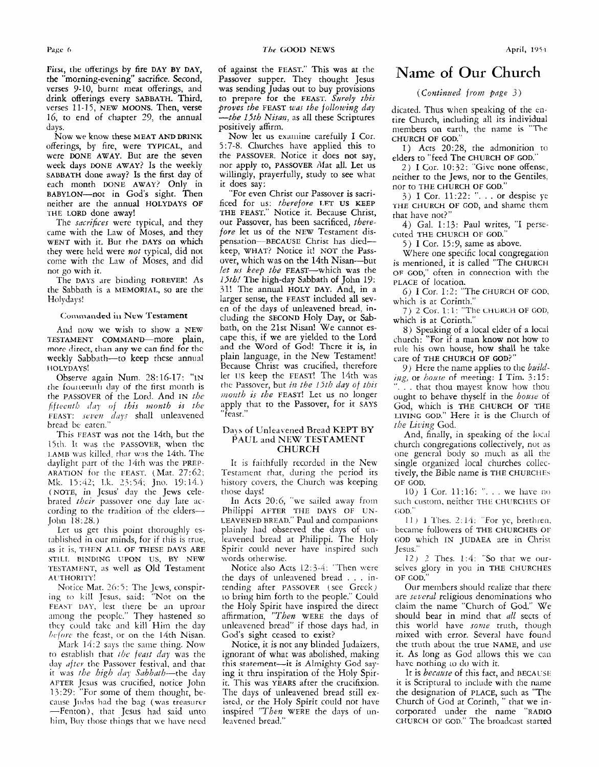**Fim, the** offerings by **fire** DAY **BY** DAY, the "morning-evening'' sacrifice. Second, verses 9-10, burnt meat offerings, and drink offerings every SABBATH. Third, verses 11-15, NEW MOONS. Then, verse 16, to end of chapter *39,* the annual days.

Now **we** know these **MEAT** AND DRINK offerings, by fire, were TYPICAL, and were DONE AWAY. But are the seven week days DONE AWAY? Is the weekly SABBATH done away? Is the first day of each month DONE AWAY? Only in BABYLON-not in God's sight. Then neither are the annud HOLYDAYS OF THE LORD done away!

The *sacrifices* were typical, and they came with the Law of Moses, and they WENT with it. **But** the DAYS on which they were held were *not* typical, did not come with the Law of Moses, and did not go with it.

The DAYS are binding FOREVER! As the Sabbath is a MEMORIAL, so are the Holydays!

#### Commanded in New Testament

And now we wish to show a NEW TESTAMENT COMMAND—more plain, innre direct, than any we can find **for** the weekly Sabbath-to keep these annual HOLYDAYS!

Observe again Num. 28: 16-17: "IN the founcement day of the first month is the PASSOVER of the Lord. And IN the *of this 7tionth is the*  FEAST: seven days shall unleavened bread be eaten."

This FEAST was not the 14th, but the 15th. It was the PASSOVER, when the I AMB \v,is killed, that *wiis* the 14th. The daylight part of the 14th was the PREP-ARATION for the FEAST. (Mat. 27:62; **Mk.** 15:42; **I.k.** 23:54; **Jno. 19:14.**) (NOTE, **in JCSUS'** day the Jews celebrated *their* passover one day late according to the tradition of the elders-John 18:28.)

Let us get this point thoroughly established in our minds, for if this is rrue, **as** it is, THEN **ALL** OF THESE DAYS ARE STILL BINDING UPON US, BY NEW 'I'ESTAMFNT, **;IS** well as Old Testament AUTHORITY!

Notice Mat. 26:5: The Jews, conspiring to kill Jesus, said: "Not on the **FEAST** DAY, lest there be an uproar among the people." They hastened so thcy could take and kill Him the day *before* the feast, or on the 14th Nisan.

**Mark 14:2 says the same thing. Now** to establish that *tbc feust duy* was the day *after* the Passover festival, and that it was *the high day Sabbath*-the day AFTER Jesus was crucified, notice John 13:29: "For some of them thought, because **Jiiclns** had the bag **(was** treasurer -Fenton), that Jesus had said unto him, Buy those things that we have need of against the FEAST." This was at the Passover supper. They thought Jesus was sending Judas out to buy provisions to prepare for the **FEAST.** *Swoly this proves the FEAST was the following day -the IJth Nisan,* as all these Scriptures positively affirm.

Now let us examine carefully I Cor. *<sup>5</sup>*: 7-S. Churches have applied this to the PASSOVER. Notice it does not say, nor apply to, PASSOVER Mat all. Let us willingly, prayerfully, study to see what it does say:

"For even Christ our Passover is sacrificed for us: *therefore* **LET US KEEP**  THE **FEAST."** Notice it. Because Christ, our Passover, has been sacrificed, *there*fore let us of the NEW Testament dispensation---BECAUSE Christ has died--keep, **WHAT?** Notice it! NOT the Passover, which **was** on the 14th Nisan-but *let us keep the FEAST*-which was the *IJth!* The high-day Sabbath of John 19: jl! The annual **HOLY** DAY. And, in a larger sense, the FEAST included **all** seven of the days of unleavened bread, **in**cluding the SECOND Holy Day, or Sabbath, on the 21st Nisan! We cannot escape this, if we are yielded to the Lord **and** the Word of God! Thcrc **it is,** in plain language, in the New Testament! Because Christ was crucified, therefore let US keep the FEAST! The 14th was die Passover, but *iiz the lSth duy* of *this iidouth is the* **FEAST!** Let us no longer apply that ro the Passover, for it SAYS "feast."

#### Da) **s** of LJnleavened Bread KEPT **BY PAUL** and NEW TESTAMENT **CHURCH**

It is faithfully recorded in the New Testament that, during the period its history covers, the Church was keeping those days!

**In** Acts 20:6, **"we** sailed away from Philippi AFTER THE DAYS OF UN-LEAVENED BREAD." Paul and companions plainly had observed the days of unleavened bread at Philippi. The Holy Spirit could never have inspired such words otherwise.

Notice also Acts 12:3-4: "Then were the days of unleavened bread . . . intending after PASSOVER (see Greck) to bring him forth *to* the people." Could the Holy Spirit have inspired the direct affirmation, *"Then* WERE the days of unleavened bread" if those days had, in God's sight ceased *to* exist?

Notice, it is not any blinded Judaizers, ignorant of what was abolished, making this statement-it is Almighty God saying it thru inspiration of the Holy Spirit. This was YEARS after the crucifixion. The days of unleavened bread still existed, *or* the Holy Spiric could not have inspired *"Then* WERE the days of unleavened bread."

## Name of Our Church

#### *(Coiztinzied from 9uge 3)*

dicated. Thus when speaking of the entire Church, including all its individual members on earth, the name is "The CHURCH OF **GOD."** 

1) Acts 20:28, the admonition to elders to "feed The CHURCH **OF** GOD."

2) **I** Cor. 10:32: "Give none offense, neither to the Jews, nor to the Gentiles, nor to THE CHURCH OF GOD."

3) I Cor. 11:22: ". . . or despise ye THE CHURCH OF GOD, and shame them that have not?"

4) Gal. 1: 13: Paul writes, "I persecuted THE CHURCH OF GOD."

*<sup>5</sup>*) I Cor. **15** : *9,* same as above.

Where one specific local congregacion is mentioned, it is called "The CHURCH OF GOD," often in connection with the PLACE of location.

6) **I** Cor. 1 :2: "The CHURCH OF COD. which is at Corinth."

7) 2 Cur. 1: **1:** "The **LHUHCH** OF GOD: which is at Corinth."

8) Speaking of a local elder of a local church: "For if a man **know** not how to rule his own house, how shall he take care of THE CHURCH **OF** GOD?"

*9)* Here the name applies to the *bziikling,* or *home* nf meeting: I Tim. 3:15: ... that thou mayest know how thou ought to behave thyself in the *house* of God, which is THE CHURCH **OF** THE LIVING GOD." Here it is the Cliurch of *tbs Liiling* God.

And, finally, in speaking of the local church congregations collectively, not as one general body so much as all the single organized local churches collectively, the Bible name is THE CHURCHES OF GOD.

10) I Cor. 11:16: ". . . we have no such custom, neither THE CHURCHES OF GOD."

11) I Thes. 2:14: "For yc, brethren, became followers of THE CHURCHES OF GOD which IN JUDAEA are in Christ Jesus."

12) *2* Thes. *1:4:* "So that we **oiir**sclves glory in you in THE CHURCHES OF GOD."

Our members should realize that there are *severul* religious denominations who claim the name "Church of God." We should bear in mind that *all* sects of this world have *some* truth, though mixed with error. Several have found the truth about the true NAME, and use it. As long as God allows this we can have nothing to do with it.

It is *because* of this fact, and BECAUSE it is Scriptural to include with the name the designation of PLACE, such as "The Church of God at Corinth, " that we incorporated under the name "RADIO CHURCH OF GOD." The broadcast started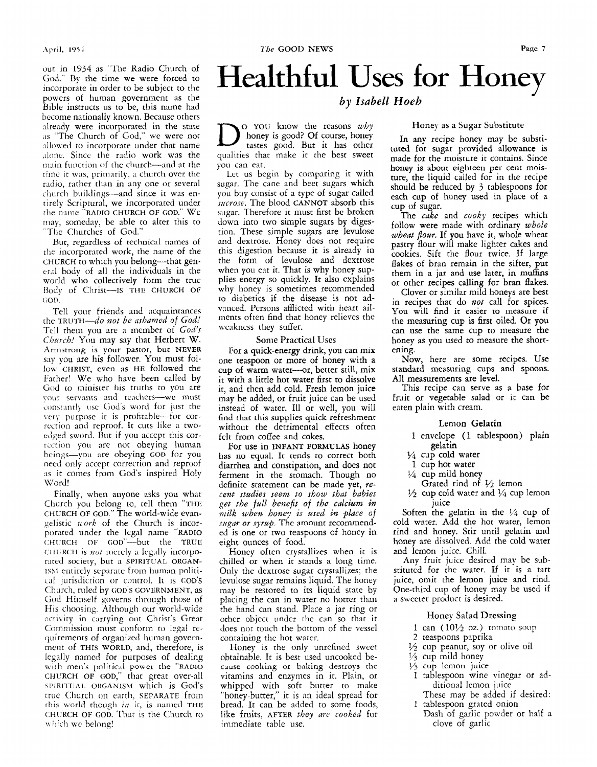.Ai-ril, **1'95 i** 

out in 1954 **as** "'l'he Radio Church of God." By the time we were forced to incorporate in order to be subject to the powers of human government as the Bible instructs us to be, this name had become nationally known. Because others already were incorporated in the state as "The Church of God," we were not allowed to incorporate under that name alone. Since the radio work was the main function of the church-and at the time it was, primarily, a church over the radio, rather than in any one or several church buildings-and since it **was** entirely Scriptural, we incorporated under *the* rime "RADIO CHURCH OF COD." We may, someday, be able to alter this to "The Chiirches of God."

But, regardless of technical names of the incorporated work, the name of the CHURCH to which you belong-that general body of all the individuals in the world who collectively form the true Body of Christ-Is THE CHURCH OF  $GOD$ 

Tell your friends and acquaintances the TRUTH-do not be ashamed of God! -Tell them you are a member of *God's Church!* You may say that Herbert W. Armstrong is your pastor, but NEVER say you are his follower. You must follow CHRIST, even as **HE** followed the Father! We who have been called by God to minister his truths to you are your servants and teachers-we must constantly use God's word for just the very purpose it is profitable-for correcrion and reproof. It cuts like a twoedged sword. But if you accept this correction you are not obeying human beings-you are obeying **COD** for you need only accept correction and reproof as it comes from God's inspired Holy Word!

Finally, when anyone asks you what Church you belong to, tell them "THE CHURCH OF GOD." The world-wide evangelistic *work* of the Church is incorporated under the legal name "RADIO CHI'RCH **01:** coD"-but the TRUE CHURCH is *not* merely a legally incorporated society, but a SPIRITUAL ORGAN-Isht entirely separate from human political jurisdiction **or** control. It is GOD'S Church, ruled by GOD'S GOVERNMENT, as God Himself governs through those of His choosing. Although our world-wide activity in carrying out Christ's Great Commission must conform to legal requirements of organized human government of THIS WORLD, and, therefore, is legally named for purposes of dealing with men's political power the "RADIO SPIRITUAL ORGANISM which is God's true Church on earth, SEPARATE from this world though *in* it, is named THE CHURCH OF GOD. That is the Church to which we belong! CHURCH OF GOD," that great over-all

## Healthful Uses for Honey

*by Zsabell Noeh* 

o YOU know the reasons *why* honey is good? Of course, honey tastes good. But it has other qualities that make it the best sweet yoii can eat.

Let us begin by comparing it with sugar. The cane and beet sugars which yoti buy consist of a type of sugar called *mcrosc.* The blood CANNOT absorb this sugar. Therefore it must first be broken down into two simple sugars by digestion. These simple sugars are levulose and dextrose. Honey does not require this digestion because it is already in the form of levulose and dextrose when you eat it. That is why honey supplies energy so quickly. It also explains why honey is sometimes recommended to diabetics if the disease is not advanced. Persons afflicted with heart ailments often find that honey relieves the ueakness they suffer.

#### Some Practical Uses

For a quick-energy drink, you can mix one teaspoon or more of honey with **a**  cup of warm water-or, better still, mix it with a little hot water first to dissolve it, and then add cold. Fresh lemon juice may be added, or fruit juice can be used instead of water. Ill or well, you will find that **this** supplies quick refreshment without the detrimental effects often felt from coffee and cokes.

For use in INFANT FORMULAS honey has no equal. It tends to correct both diarrhea and constipation, and does not ferment in the stomach. Though no definite statement can be made yet, *recent stadies seem to show that babies get the full benefit* of *the calcium in milk when honey is used in place of*  sugar or syrup. The amount recommended is one or two teaspoons of honey in eight ounces of food.

Honey often crystallizes when it **is**  chilled or when it stands **a** long time. Only the dextrose sugar crystallizes; the levulose sugar remains liquid. The honey may be restored to its liquid state by placing the can in water no hotter than the hand can stand. Place a jar ring or other object under the can so that it does not touch the bottom of the vessel containing the hot water.

Honey is the only unrefined sweet obtainable. It is best used uncooked because cooking or baking destroys thc vitamins and enzymes in it. Plain, or whipped with soft butter to make "honey-butter," it is an ideal spread for bread. It can be added to some foods, like fruits, AFTER *they me* cooked for immediate table use.

#### Honey a5 a Sugar Substitute

In any recipe honey may be substituted for sugar provided allowance is made for the moisture it contains. Since honey **is** about eighteen per cent moisture, the liquid called for in the recipe should be reduced by *3* tablespoons for each cup of honey used in place of a cup of sugar.

The *cake* and *cooky* recipes which follow were made with ordinary *whole wheat flour.* If you have it, whole wheat pastry flour will make lighter cakes and cookies. Sift the flour twice. If large flakes of bran remain in the sifter, put them in a jar and **use** later, in **muffins**  or other recipes calling for bran flakes.

Clover or similar mild honeys are best in recipes that do *not* call for spices. You **will** find it **easier** to measure if the measuring cup is first oiled. Or you can use the same cup to measure the honey as you used to measure the shortening.

Now, here are some recipes. Use standard measuring cups and spoons. **All** measurements are level.

This recipe can serve as a base for fruit or vegetable salad or it can be eaten plain with cream.

#### Lemon **Gelatin**

- 1 envelope **(1** tablespoon) plain gelatin
- $\frac{1}{4}$  cup cold water
- 1 cup hot water
- $\frac{1}{4}$  cup mild honey
- Grated rind of  $\frac{1}{2}$  lemon
- $\frac{1}{2}$  cup cold water and  $\frac{1}{4}$  cup lemon juice

Soften the gelatin in the  $\frac{1}{4}$  cup of cold water. Add the hot water, lemon rind and honey. Stir until gelatin and honey are dissolved. Add the cold water and lemon juice. Chill.

**Any** fruit juice desired may be substituted for the water. If it is a tart juice, omit the lemon juice and rind. One-third cup of honey may be used if a sweeter product is desired.

#### Honey Salad Dressing

- $1$  can  $(10\frac{1}{2}$  oz.) tomato soup
- 2 teaspoons paprika
- '/2 cup peanut, soy or olive oil
- $\frac{1}{3}$  cup mild honey
- 35 cup lemon juice
- 1 tablespoon wine vinegar or additional lemon juice
- 1 tablespoon grated onion These may be added if desired:
- Dash of garlic powder or half a clove of garlic